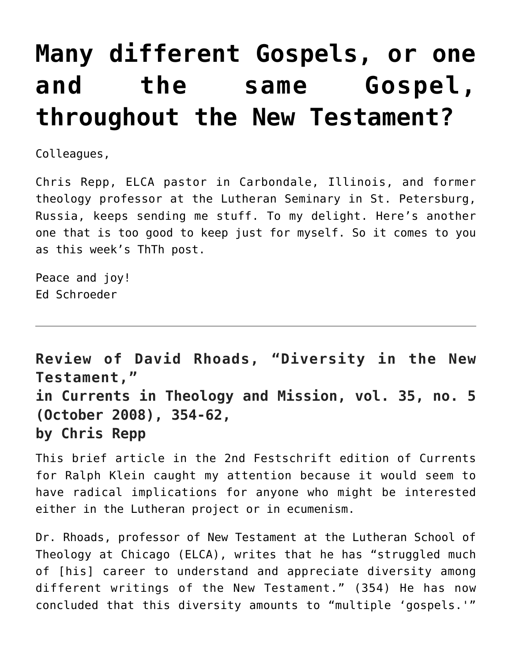## **[Many different Gospels, or one](https://crossings.org/many-different-gospels-or-one-and-the-same-gospel-throughout-the-new-testament/) [and the same Gospel,](https://crossings.org/many-different-gospels-or-one-and-the-same-gospel-throughout-the-new-testament/) [throughout the New Testament?](https://crossings.org/many-different-gospels-or-one-and-the-same-gospel-throughout-the-new-testament/)**

Colleagues,

Chris Repp, ELCA pastor in Carbondale, Illinois, and former theology professor at the Lutheran Seminary in St. Petersburg, Russia, keeps sending me stuff. To my delight. Here's another one that is too good to keep just for myself. So it comes to you as this week's ThTh post.

Peace and joy! Ed Schroeder

**Review of David Rhoads, "Diversity in the New Testament," in Currents in Theology and Mission, vol. 35, no. 5 (October 2008), 354-62, by Chris Repp**

This brief article in the 2nd Festschrift edition of Currents for Ralph Klein caught my attention because it would seem to have radical implications for anyone who might be interested either in the Lutheran project or in ecumenism.

Dr. Rhoads, professor of New Testament at the Lutheran School of Theology at Chicago (ELCA), writes that he has "struggled much of [his] career to understand and appreciate diversity among different writings of the New Testament." (354) He has now concluded that this diversity amounts to "multiple 'gospels.'"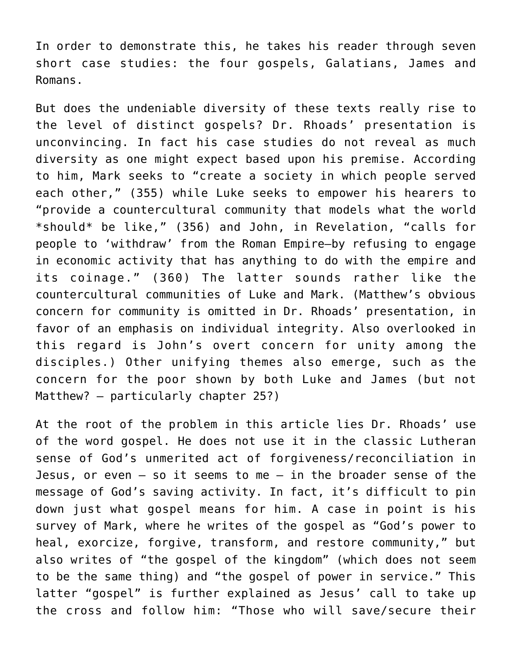In order to demonstrate this, he takes his reader through seven short case studies: the four gospels, Galatians, James and Romans.

But does the undeniable diversity of these texts really rise to the level of distinct gospels? Dr. Rhoads' presentation is unconvincing. In fact his case studies do not reveal as much diversity as one might expect based upon his premise. According to him, Mark seeks to "create a society in which people served each other," (355) while Luke seeks to empower his hearers to "provide a countercultural community that models what the world \*should\* be like," (356) and John, in Revelation, "calls for people to 'withdraw' from the Roman Empire–by refusing to engage in economic activity that has anything to do with the empire and its coinage." (360) The latter sounds rather like the countercultural communities of Luke and Mark. (Matthew's obvious concern for community is omitted in Dr. Rhoads' presentation, in favor of an emphasis on individual integrity. Also overlooked in this regard is John's overt concern for unity among the disciples.) Other unifying themes also emerge, such as the concern for the poor shown by both Luke and James (but not Matthew? – particularly chapter 25?)

At the root of the problem in this article lies Dr. Rhoads' use of the word gospel. He does not use it in the classic Lutheran sense of God's unmerited act of forgiveness/reconciliation in Jesus, or even  $-$  so it seems to me  $-$  in the broader sense of the message of God's saving activity. In fact, it's difficult to pin down just what gospel means for him. A case in point is his survey of Mark, where he writes of the gospel as "God's power to heal, exorcize, forgive, transform, and restore community," but also writes of "the gospel of the kingdom" (which does not seem to be the same thing) and "the gospel of power in service." This latter "gospel" is further explained as Jesus' call to take up the cross and follow him: "Those who will save/secure their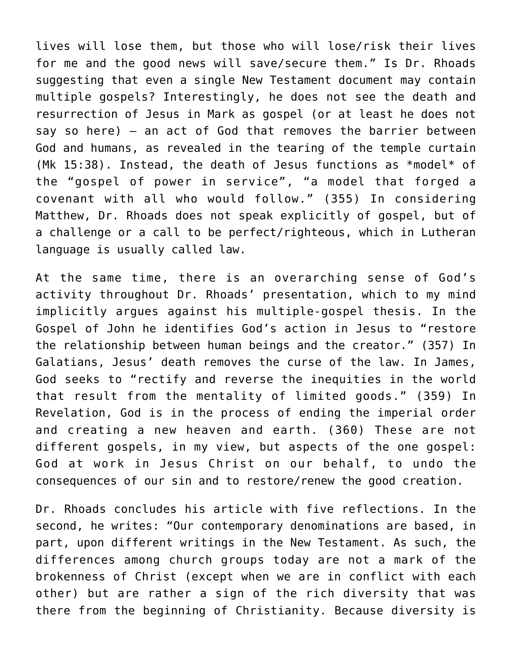lives will lose them, but those who will lose/risk their lives for me and the good news will save/secure them." Is Dr. Rhoads suggesting that even a single New Testament document may contain multiple gospels? Interestingly, he does not see the death and resurrection of Jesus in Mark as gospel (or at least he does not say so here) – an act of God that removes the barrier between God and humans, as revealed in the tearing of the temple curtain (Mk 15:38). Instead, the death of Jesus functions as \*model\* of the "gospel of power in service", "a model that forged a covenant with all who would follow." (355) In considering Matthew, Dr. Rhoads does not speak explicitly of gospel, but of a challenge or a call to be perfect/righteous, which in Lutheran language is usually called law.

At the same time, there is an overarching sense of God's activity throughout Dr. Rhoads' presentation, which to my mind implicitly argues against his multiple-gospel thesis. In the Gospel of John he identifies God's action in Jesus to "restore the relationship between human beings and the creator." (357) In Galatians, Jesus' death removes the curse of the law. In James, God seeks to "rectify and reverse the inequities in the world that result from the mentality of limited goods." (359) In Revelation, God is in the process of ending the imperial order and creating a new heaven and earth. (360) These are not different gospels, in my view, but aspects of the one gospel: God at work in Jesus Christ on our behalf, to undo the consequences of our sin and to restore/renew the good creation.

Dr. Rhoads concludes his article with five reflections. In the second, he writes: "Our contemporary denominations are based, in part, upon different writings in the New Testament. As such, the differences among church groups today are not a mark of the brokenness of Christ (except when we are in conflict with each other) but are rather a sign of the rich diversity that was there from the beginning of Christianity. Because diversity is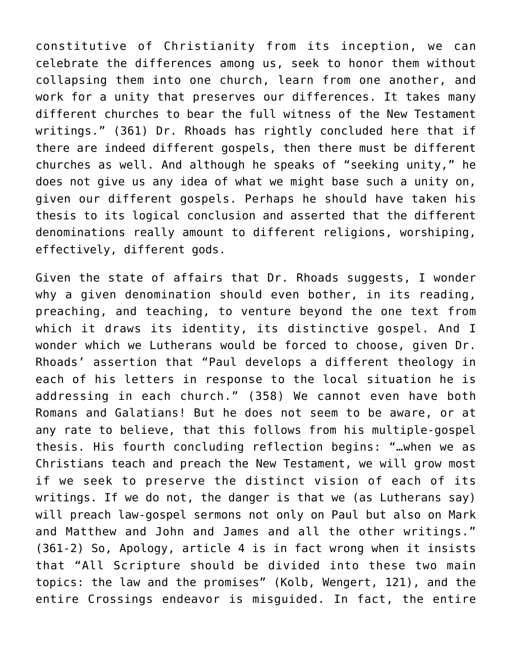constitutive of Christianity from its inception, we can celebrate the differences among us, seek to honor them without collapsing them into one church, learn from one another, and work for a unity that preserves our differences. It takes many different churches to bear the full witness of the New Testament writings." (361) Dr. Rhoads has rightly concluded here that if there are indeed different gospels, then there must be different churches as well. And although he speaks of "seeking unity," he does not give us any idea of what we might base such a unity on, given our different gospels. Perhaps he should have taken his thesis to its logical conclusion and asserted that the different denominations really amount to different religions, worshiping, effectively, different gods.

Given the state of affairs that Dr. Rhoads suggests, I wonder why a given denomination should even bother, in its reading, preaching, and teaching, to venture beyond the one text from which it draws its identity, its distinctive gospel. And I wonder which we Lutherans would be forced to choose, given Dr. Rhoads' assertion that "Paul develops a different theology in each of his letters in response to the local situation he is addressing in each church." (358) We cannot even have both Romans and Galatians! But he does not seem to be aware, or at any rate to believe, that this follows from his multiple-gospel thesis. His fourth concluding reflection begins: "…when we as Christians teach and preach the New Testament, we will grow most if we seek to preserve the distinct vision of each of its writings. If we do not, the danger is that we (as Lutherans say) will preach law-gospel sermons not only on Paul but also on Mark and Matthew and John and James and all the other writings." (361-2) So, Apology, article 4 is in fact wrong when it insists that "All Scripture should be divided into these two main topics: the law and the promises" (Kolb, Wengert, 121), and the entire Crossings endeavor is misguided. In fact, the entire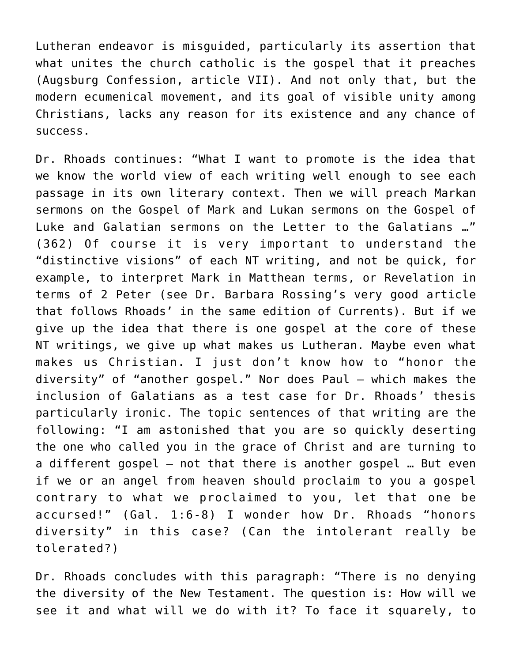Lutheran endeavor is misguided, particularly its assertion that what unites the church catholic is the gospel that it preaches (Augsburg Confession, article VII). And not only that, but the modern ecumenical movement, and its goal of visible unity among Christians, lacks any reason for its existence and any chance of success.

Dr. Rhoads continues: "What I want to promote is the idea that we know the world view of each writing well enough to see each passage in its own literary context. Then we will preach Markan sermons on the Gospel of Mark and Lukan sermons on the Gospel of Luke and Galatian sermons on the Letter to the Galatians …" (362) Of course it is very important to understand the "distinctive visions" of each NT writing, and not be quick, for example, to interpret Mark in Matthean terms, or Revelation in terms of 2 Peter (see Dr. Barbara Rossing's very good article that follows Rhoads' in the same edition of Currents). But if we give up the idea that there is one gospel at the core of these NT writings, we give up what makes us Lutheran. Maybe even what makes us Christian. I just don't know how to "honor the diversity" of "another gospel." Nor does Paul – which makes the inclusion of Galatians as a test case for Dr. Rhoads' thesis particularly ironic. The topic sentences of that writing are the following: "I am astonished that you are so quickly deserting the one who called you in the grace of Christ and are turning to a different gospel – not that there is another gospel … But even if we or an angel from heaven should proclaim to you a gospel contrary to what we proclaimed to you, let that one be accursed!" (Gal. 1:6-8) I wonder how Dr. Rhoads "honors diversity" in this case? (Can the intolerant really be tolerated?)

Dr. Rhoads concludes with this paragraph: "There is no denying the diversity of the New Testament. The question is: How will we see it and what will we do with it? To face it squarely, to